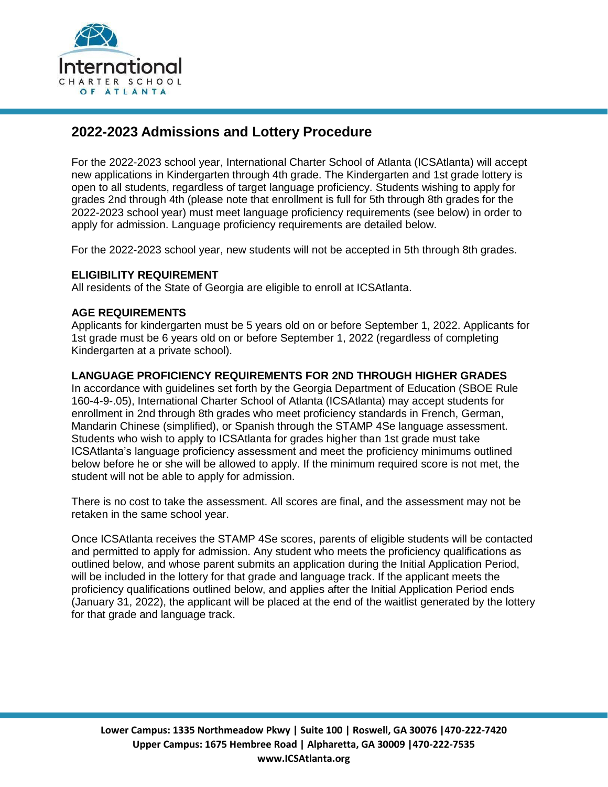

# **2022-2023 Admissions and Lottery Procedure**

For the 2022-2023 school year, International Charter School of Atlanta (ICSAtlanta) will accept new applications in Kindergarten through 4th grade. The Kindergarten and 1st grade lottery is open to all students, regardless of target language proficiency. Students wishing to apply for grades 2nd through 4th (please note that enrollment is full for 5th through 8th grades for the 2022-2023 school year) must meet language proficiency requirements (see below) in order to apply for admission. Language proficiency requirements are detailed below.

For the 2022-2023 school year, new students will not be accepted in 5th through 8th grades.

#### **ELIGIBILITY REQUIREMENT**

All residents of the State of Georgia are eligible to enroll at ICSAtlanta.

#### **AGE REQUIREMENTS**

Applicants for kindergarten must be 5 years old on or before September 1, 2022. Applicants for 1st grade must be 6 years old on or before September 1, 2022 (regardless of completing Kindergarten at a private school).

#### **LANGUAGE PROFICIENCY REQUIREMENTS FOR 2ND THROUGH HIGHER GRADES**

In accordance with guidelines set forth by the Georgia Department of Education (SBOE Rule 160-4-9-.05), International Charter School of Atlanta (ICSAtlanta) may accept students for enrollment in 2nd through 8th grades who meet proficiency standards in French, German, Mandarin Chinese (simplified), or Spanish through the STAMP 4Se language assessment. Students who wish to apply to ICSAtlanta for grades higher than 1st grade must take ICSAtlanta's language proficiency assessment and meet the proficiency minimums outlined below before he or she will be allowed to apply. If the minimum required score is not met, the student will not be able to apply for admission.

There is no cost to take the assessment. All scores are final, and the assessment may not be retaken in the same school year.

Once ICSAtlanta receives the STAMP 4Se scores, parents of eligible students will be contacted and permitted to apply for admission. Any student who meets the proficiency qualifications as outlined below, and whose parent submits an application during the Initial Application Period, will be included in the lottery for that grade and language track. If the applicant meets the proficiency qualifications outlined below, and applies after the Initial Application Period ends (January 31, 2022), the applicant will be placed at the end of the waitlist generated by the lottery for that grade and language track.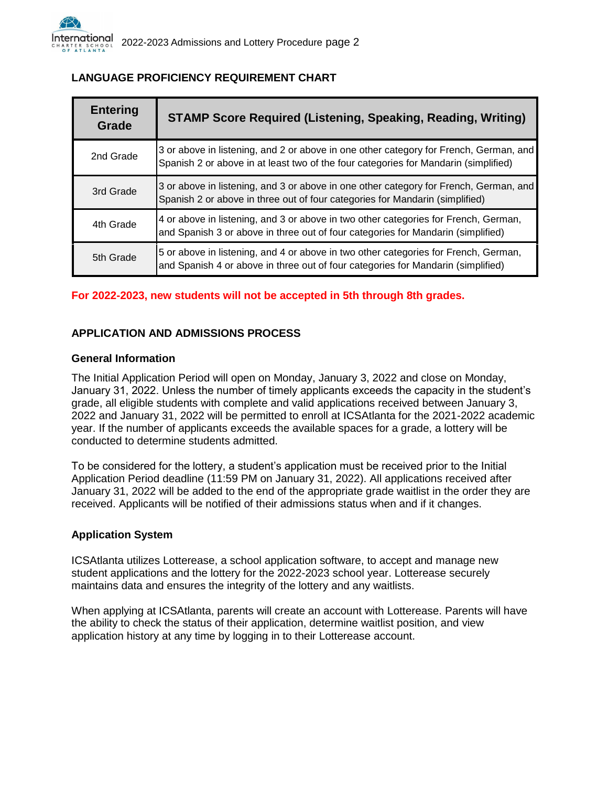| <b>Entering</b><br>Grade | <b>STAMP Score Required (Listening, Speaking, Reading, Writing)</b>                                                                                                          |
|--------------------------|------------------------------------------------------------------------------------------------------------------------------------------------------------------------------|
| 2nd Grade                | 3 or above in listening, and 2 or above in one other category for French, German, and<br>Spanish 2 or above in at least two of the four categories for Mandarin (simplified) |
| 3rd Grade                | 3 or above in listening, and 3 or above in one other category for French, German, and<br>Spanish 2 or above in three out of four categories for Mandarin (simplified)        |
| 4th Grade                | 4 or above in listening, and 3 or above in two other categories for French, German,<br>and Spanish 3 or above in three out of four categories for Mandarin (simplified)      |
| 5th Grade                | 5 or above in listening, and 4 or above in two other categories for French, German,<br>and Spanish 4 or above in three out of four categories for Mandarin (simplified)      |

# **LANGUAGE PROFICIENCY REQUIREMENT CHART**

## **For 2022-2023, new students will not be accepted in 5th through 8th grades.**

## **APPLICATION AND ADMISSIONS PROCESS**

#### **General Information**

The Initial Application Period will open on Monday, January 3, 2022 and close on Monday, January 31, 2022. Unless the number of timely applicants exceeds the capacity in the student's grade, all eligible students with complete and valid applications received between January 3, 2022 and January 31, 2022 will be permitted to enroll at ICSAtlanta for the 2021-2022 academic year. If the number of applicants exceeds the available spaces for a grade, a lottery will be conducted to determine students admitted.

To be considered for the lottery, a student's application must be received prior to the Initial Application Period deadline (11:59 PM on January 31, 2022). All applications received after January 31, 2022 will be added to the end of the appropriate grade waitlist in the order they are received. Applicants will be notified of their admissions status when and if it changes.

#### **Application System**

ICSAtlanta utilizes Lotterease, a school application software, to accept and manage new student applications and the lottery for the 2022-2023 school year. Lotterease securely maintains data and ensures the integrity of the lottery and any waitlists.

When applying at ICSAtlanta, parents will create an account with Lotterease. Parents will have the ability to check the status of their application, determine waitlist position, and view application history at any time by logging in to their Lotterease account.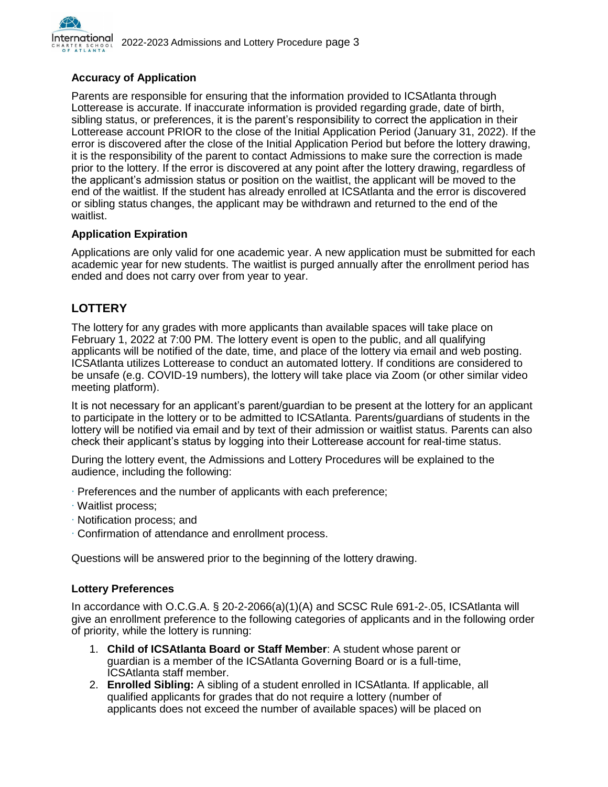

#### **Accuracy of Application**

Parents are responsible for ensuring that the information provided to ICSAtlanta through Lotterease is accurate. If inaccurate information is provided regarding grade, date of birth, sibling status, or preferences, it is the parent's responsibility to correct the application in their Lotterease account PRIOR to the close of the Initial Application Period (January 31, 2022). If the error is discovered after the close of the Initial Application Period but before the lottery drawing, it is the responsibility of the parent to contact Admissions to make sure the correction is made prior to the lottery. If the error is discovered at any point after the lottery drawing, regardless of the applicant's admission status or position on the waitlist, the applicant will be moved to the end of the waitlist. If the student has already enrolled at ICSAtlanta and the error is discovered or sibling status changes, the applicant may be withdrawn and returned to the end of the waitlist.

#### **Application Expiration**

Applications are only valid for one academic year. A new application must be submitted for each academic year for new students. The waitlist is purged annually after the enrollment period has ended and does not carry over from year to year.

# **LOTTERY**

The lottery for any grades with more applicants than available spaces will take place on February 1, 2022 at 7:00 PM. The lottery event is open to the public, and all qualifying applicants will be notified of the date, time, and place of the lottery via email and web posting. ICSAtlanta utilizes Lotterease to conduct an automated lottery. If conditions are considered to be unsafe (e.g. COVID-19 numbers), the lottery will take place via Zoom (or other similar video meeting platform).

It is not necessary for an applicant's parent/guardian to be present at the lottery for an applicant to participate in the lottery or to be admitted to ICSAtlanta. Parents/guardians of students in the lottery will be notified via email and by text of their admission or waitlist status. Parents can also check their applicant's status by logging into their Lotterease account for real-time status.

During the lottery event, the Admissions and Lottery Procedures will be explained to the audience, including the following:

- ∙ Preferences and the number of applicants with each preference;
- ∙ Waitlist process;
- ∙ Notification process; and
- ∙ Confirmation of attendance and enrollment process.

Questions will be answered prior to the beginning of the lottery drawing.

#### **Lottery Preferences**

In accordance with O.C.G.A. § 20-2-2066(a)(1)(A) and SCSC Rule 691-2-.05, ICSAtlanta will give an enrollment preference to the following categories of applicants and in the following order of priority, while the lottery is running:

- 1. **Child of ICSAtlanta Board or Staff Member**: A student whose parent or guardian is a member of the ICSAtlanta Governing Board or is a full-time, ICSAtlanta staff member.
- 2. **Enrolled Sibling:** A sibling of a student enrolled in ICSAtlanta. If applicable, all qualified applicants for grades that do not require a lottery (number of applicants does not exceed the number of available spaces) will be placed on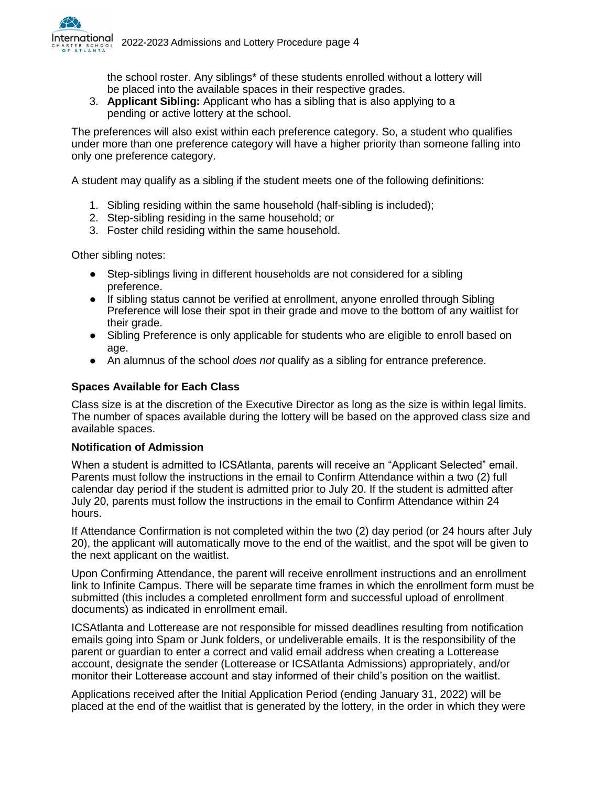

the school roster. Any siblings\* of these students enrolled without a lottery will be placed into the available spaces in their respective grades.

3. **Applicant Sibling:** Applicant who has a sibling that is also applying to a pending or active lottery at the school.

The preferences will also exist within each preference category. So, a student who qualifies under more than one preference category will have a higher priority than someone falling into only one preference category.

A student may qualify as a sibling if the student meets one of the following definitions:

- 1. Sibling residing within the same household (half-sibling is included);
- 2. Step-sibling residing in the same household; or
- 3. Foster child residing within the same household.

Other sibling notes:

- Step-siblings living in different households are not considered for a sibling preference.
- If sibling status cannot be verified at enrollment, anyone enrolled through Sibling Preference will lose their spot in their grade and move to the bottom of any waitlist for their grade.
- Sibling Preference is only applicable for students who are eligible to enroll based on age.
- An alumnus of the school *does not* qualify as a sibling for entrance preference.

#### **Spaces Available for Each Class**

Class size is at the discretion of the Executive Director as long as the size is within legal limits. The number of spaces available during the lottery will be based on the approved class size and available spaces.

#### **Notification of Admission**

When a student is admitted to ICSAtlanta, parents will receive an "Applicant Selected" email. Parents must follow the instructions in the email to Confirm Attendance within a two (2) full calendar day period if the student is admitted prior to July 20. If the student is admitted after July 20, parents must follow the instructions in the email to Confirm Attendance within 24 hours.

If Attendance Confirmation is not completed within the two (2) day period (or 24 hours after July 20), the applicant will automatically move to the end of the waitlist, and the spot will be given to the next applicant on the waitlist.

Upon Confirming Attendance, the parent will receive enrollment instructions and an enrollment link to Infinite Campus. There will be separate time frames in which the enrollment form must be submitted (this includes a completed enrollment form and successful upload of enrollment documents) as indicated in enrollment email.

ICSAtlanta and Lotterease are not responsible for missed deadlines resulting from notification emails going into Spam or Junk folders, or undeliverable emails. It is the responsibility of the parent or guardian to enter a correct and valid email address when creating a Lotterease account, designate the sender (Lotterease or ICSAtlanta Admissions) appropriately, and/or monitor their Lotterease account and stay informed of their child's position on the waitlist.

Applications received after the Initial Application Period (ending January 31, 2022) will be placed at the end of the waitlist that is generated by the lottery, in the order in which they were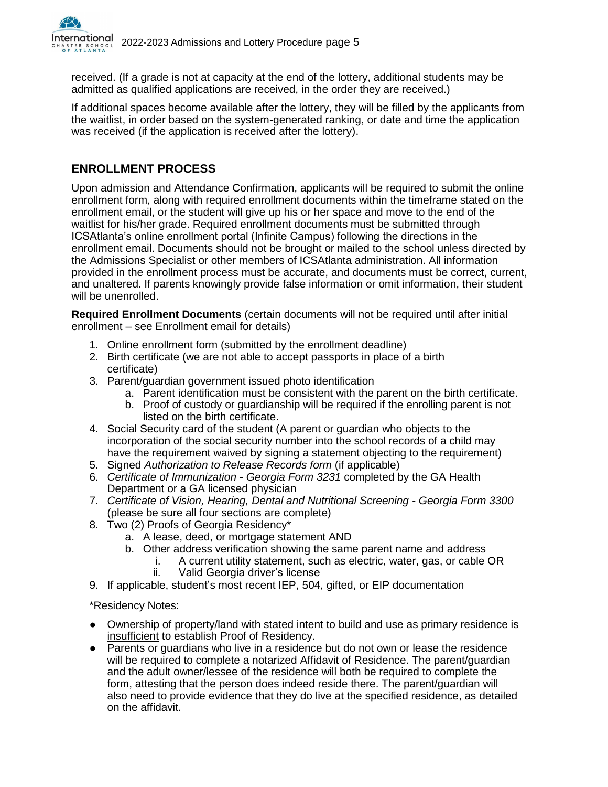

received. (If a grade is not at capacity at the end of the lottery, additional students may be admitted as qualified applications are received, in the order they are received.)

If additional spaces become available after the lottery, they will be filled by the applicants from the waitlist, in order based on the system-generated ranking, or date and time the application was received (if the application is received after the lottery).

# **ENROLLMENT PROCESS**

Upon admission and Attendance Confirmation, applicants will be required to submit the online enrollment form, along with required enrollment documents within the timeframe stated on the enrollment email, or the student will give up his or her space and move to the end of the waitlist for his/her grade. Required enrollment documents must be submitted through ICSAtlanta's online enrollment portal (Infinite Campus) following the directions in the enrollment email. Documents should not be brought or mailed to the school unless directed by the Admissions Specialist or other members of ICSAtlanta administration. All information provided in the enrollment process must be accurate, and documents must be correct, current, and unaltered. If parents knowingly provide false information or omit information, their student will be unenrolled.

**Required Enrollment Documents** (certain documents will not be required until after initial enrollment – see Enrollment email for details)

- 1. Online enrollment form (submitted by the enrollment deadline)
- 2. Birth certificate (we are not able to accept passports in place of a birth certificate)
- 3. Parent/guardian government issued photo identification
	- a. Parent identification must be consistent with the parent on the birth certificate.
	- b. Proof of custody or guardianship will be required if the enrolling parent is not listed on the birth certificate.
- 4. Social Security card of the student (A parent or guardian who objects to the incorporation of the social security number into the school records of a child may have the requirement waived by signing a statement objecting to the requirement)
- 5. Signed *Authorization to Release Records form* (if applicable)
- 6. *Certificate of Immunization Georgia Form 3231* completed by the GA Health Department or a GA licensed physician
- 7. *Certificate of Vision, Hearing, Dental and Nutritional Screening Georgia Form 3300*  (please be sure all four sections are complete)
- 8. Two (2) Proofs of Georgia Residency\*
	- a. A lease, deed, or mortgage statement AND
		- b. Other address verification showing the same parent name and address
			- i. A current utility statement, such as electric, water, gas, or cable OR
			- ii. Valid Georgia driver's license
- 9. If applicable, student's most recent IEP, 504, gifted, or EIP documentation

\*Residency Notes:

- Ownership of property/land with stated intent to build and use as primary residence is insufficient to establish Proof of Residency.
- Parents or guardians who live in a residence but do not own or lease the residence will be required to complete a notarized Affidavit of Residence. The parent/guardian and the adult owner/lessee of the residence will both be required to complete the form, attesting that the person does indeed reside there. The parent/guardian will also need to provide evidence that they do live at the specified residence, as detailed on the affidavit.